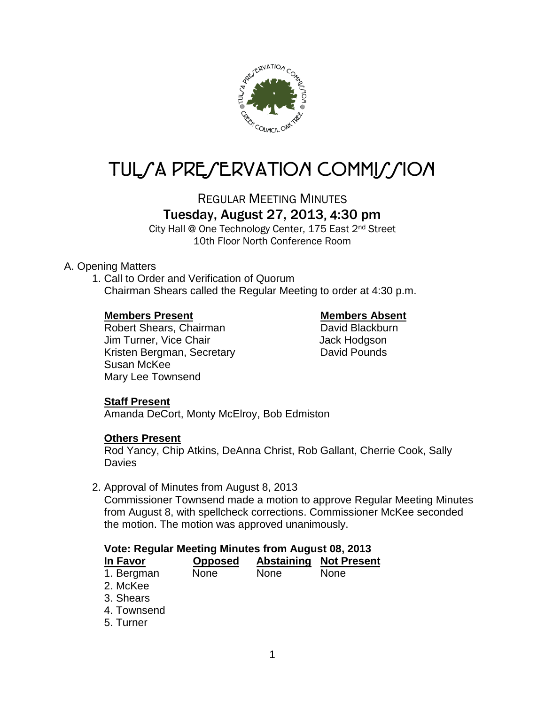

# TUL/A PRE/ERVATION COMMI//ION

REGULAR MEETING MINUTES

## Tuesday, August 27, 2013, 4:30 pm

City Hall @ One Technology Center, 175 East 2nd Street 10th Floor North Conference Room

#### A. Opening Matters

1. Call to Order and Verification of Quorum Chairman Shears called the Regular Meeting to order at 4:30 p.m.

#### **Members Present Members Absent**

Robert Shears, Chairman David Blackburn Jim Turner, Vice Chair **Jack Hodgson** Kristen Bergman, Secretary **David Pounds** Susan McKee Mary Lee Townsend

### **Staff Present**

Amanda DeCort, Monty McElroy, Bob Edmiston

### **Others Present**

Rod Yancy, Chip Atkins, DeAnna Christ, Rob Gallant, Cherrie Cook, Sally **Davies** 

2. Approval of Minutes from August 8, 2013

Commissioner Townsend made a motion to approve Regular Meeting Minutes from August 8, with spellcheck corrections. Commissioner McKee seconded the motion. The motion was approved unanimously.

### **Vote: Regular Meeting Minutes from August 08, 2013**

| In Favor   | <b>Opposed</b> |             | <b>Abstaining Not Present</b> |
|------------|----------------|-------------|-------------------------------|
| 1. Bergman | <b>None</b>    | <b>None</b> | <b>None</b>                   |
| $0 \pm 1$  |                |             |                               |

- 2. McKee
- 3. Shears
- 4. Townsend
- 5. Turner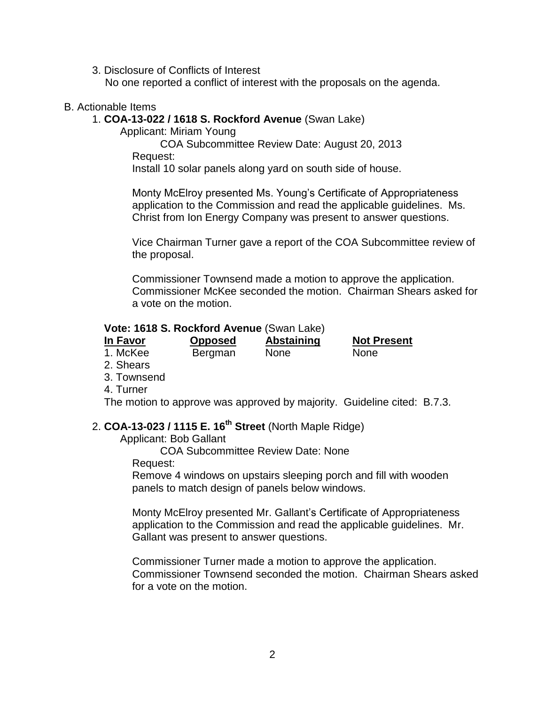3. Disclosure of Conflicts of Interest

No one reported a conflict of interest with the proposals on the agenda.

#### B. Actionable Items

#### 1. **COA-13-022 / 1618 S. Rockford Avenue** (Swan Lake)

Applicant: Miriam Young

COA Subcommittee Review Date: August 20, 2013 Request:

Install 10 solar panels along yard on south side of house.

Monty McElroy presented Ms. Young's Certificate of Appropriateness application to the Commission and read the applicable guidelines. Ms. Christ from Ion Energy Company was present to answer questions.

Vice Chairman Turner gave a report of the COA Subcommittee review of the proposal.

Commissioner Townsend made a motion to approve the application. Commissioner McKee seconded the motion. Chairman Shears asked for a vote on the motion.

#### **Vote: 1618 S. Rockford Avenue** (Swan Lake)

| In Favor | <b>Opposed</b> | Abstaining  | <b>Not Present</b> |
|----------|----------------|-------------|--------------------|
| 1. McKee | Bergman        | <b>None</b> | <b>None</b>        |

- 2. Shears
- 3. Townsend
- 4. Turner

The motion to approve was approved by majority. Guideline cited: B.7.3.

#### 2. **COA-13-023 / 1115 E. 16th Street** (North Maple Ridge)

Applicant: Bob Gallant

COA Subcommittee Review Date: None

Request:

Remove 4 windows on upstairs sleeping porch and fill with wooden panels to match design of panels below windows.

Monty McElroy presented Mr. Gallant's Certificate of Appropriateness application to the Commission and read the applicable guidelines. Mr. Gallant was present to answer questions.

Commissioner Turner made a motion to approve the application. Commissioner Townsend seconded the motion. Chairman Shears asked for a vote on the motion.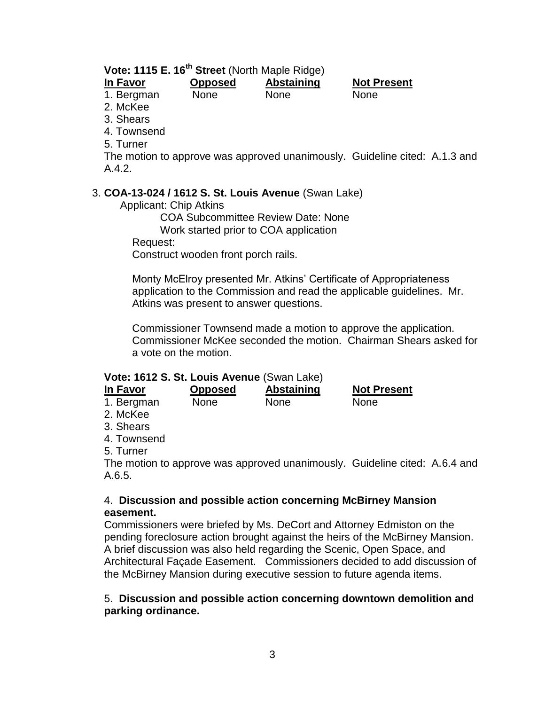| Vote: 1115 E. 16 <sup>th</sup> Street (North Maple Ridge) |                |             |                    |  |  |  |
|-----------------------------------------------------------|----------------|-------------|--------------------|--|--|--|
| In Favor                                                  | <b>Opposed</b> | Abstaining  | <b>Not Present</b> |  |  |  |
| 1. Bergman                                                | <b>None</b>    | <b>None</b> | <b>None</b>        |  |  |  |
| 2. McKee                                                  |                |             |                    |  |  |  |
| $\sim$ $\sim$ $\sim$                                      |                |             |                    |  |  |  |

- 3. Shears
- 4. Townsend
- 5. Turner

The motion to approve was approved unanimously. Guideline cited: A.1.3 and A.4.2.

#### 3. **COA-13-024 / 1612 S. St. Louis Avenue** (Swan Lake)

Applicant: Chip Atkins

COA Subcommittee Review Date: None

Work started prior to COA application

Request:

Construct wooden front porch rails.

Monty McElroy presented Mr. Atkins' Certificate of Appropriateness application to the Commission and read the applicable guidelines. Mr. Atkins was present to answer questions.

Commissioner Townsend made a motion to approve the application. Commissioner McKee seconded the motion. Chairman Shears asked for a vote on the motion.

#### **Vote: 1612 S. St. Louis Avenue** (Swan Lake)

| In Favor   | <b>Opposed</b> | <b>Abstaining</b> | <b>Not Present</b> |
|------------|----------------|-------------------|--------------------|
| 1. Bergman | <b>None</b>    | <b>None</b>       | <b>None</b>        |
|            |                |                   |                    |

- 2. McKee
- 3. Shears
- 4. Townsend
- 5. Turner

The motion to approve was approved unanimously. Guideline cited: A.6.4 and A.6.5.

#### 4. **Discussion and possible action concerning McBirney Mansion easement.**

Commissioners were briefed by Ms. DeCort and Attorney Edmiston on the pending foreclosure action brought against the heirs of the McBirney Mansion. A brief discussion was also held regarding the Scenic, Open Space, and Architectural Façade Easement. Commissioners decided to add discussion of the McBirney Mansion during executive session to future agenda items.

#### 5. **Discussion and possible action concerning downtown demolition and parking ordinance.**